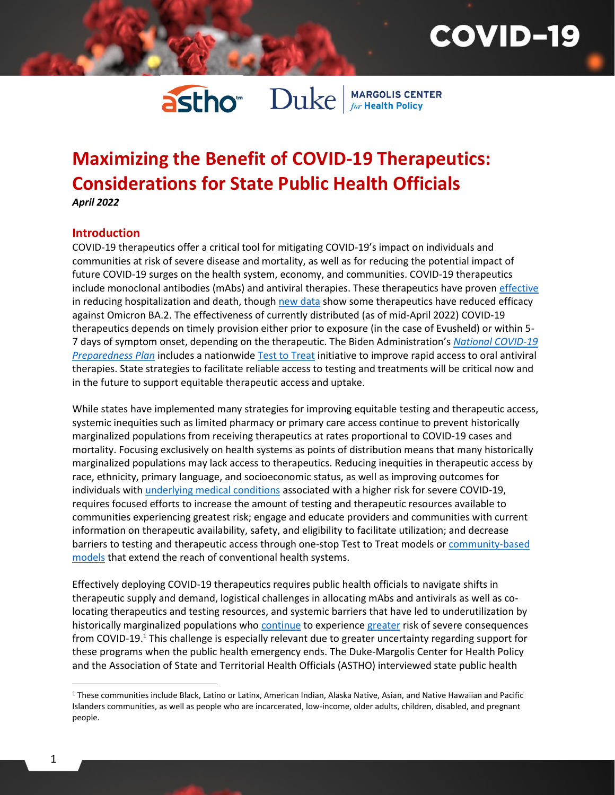## **COVID-19**

# **astho** Duke MARGOLIS CENTER

### **Maximizing the Benefit of COVID-19 Therapeutics: Considerations for State Public Health Officials** *April 2022*

#### **Introduction**

COVID-19 therapeutics offer a critical tool for mitigating COVID-19's impact on individuals and communities at risk of severe disease and mortality, as well as for reducing the potential impact of future COVID-19 surges on the health system, economy, and communities. COVID-19 therapeutics include monoclonal antibodies (mAbs) and antiviral therapies. These therapeutics have proven [effective](https://www.covid19treatmentguidelines.nih.gov/management/clinical-management/nonhospitalized-adults--therapeutic-management/) in reducing hospitalization and death, though [new data](https://aspr.hhs.gov/COVID-19/Therapeutics/updates/Pages/important-update-5April2022.aspx) show some therapeutics have reduced efficacy against Omicron BA.2. The effectiveness of currently distributed (as of mid-April 2022) COVID-19 therapeutics depends on timely provision either prior to exposure (in the case of Evusheld) or within 5- 7 days of symptom onset, depending on the therapeutic. The Biden Administration's *[National COVID-19](https://www.whitehouse.gov/covidplan/)  [Preparedness Plan](https://www.whitehouse.gov/covidplan/)* includes a nationwid[e Test to Treat](https://www.hhs.gov/about/news/2022/03/08/fact-sheet-biden-administration-launches-nationwide-test-treat-initiative-ensuring-rapid-on-spot-access-lifesaving-covid-treatments.html) initiative to improve rapid access to oral antiviral therapies. State strategies to facilitate reliable access to testing and treatments will be critical now and in the future to support equitable therapeutic access and uptake.

While states have implemented many strategies for improving equitable testing and therapeutic access, systemic inequities such as limited pharmacy or primary care access continue to prevent historically marginalized populations from receiving therapeutics at rates proportional to COVID-19 cases and mortality. Focusing exclusively on health systems as points of distribution means that many historically marginalized populations may lack access to therapeutics. Reducing inequities in therapeutic access by race, ethnicity, primary language, and socioeconomic status, as well as improving outcomes for individuals wit[h underlying medical conditions](https://www.cdc.gov/coronavirus/2019-ncov/hcp/clinical-care/underlyingconditions.html) associated with a higher risk for severe COVID-19, requires focused efforts to increase the amount of testing and therapeutic resources available to communities experiencing greatest risk; engage and educate providers and communities with current information on therapeutic availability, safety, and eligibility to facilitate utilization; and decrease barriers to testing and therapeutic access through one-stop Test to Treat models or [community-based](https://healthpolicy.duke.edu/sites/default/files/2021-09/Hyperlocal%20COVID%20Testing%20Vaccination_1.pdf)  [models](https://healthpolicy.duke.edu/sites/default/files/2021-09/Hyperlocal%20COVID%20Testing%20Vaccination_1.pdf) that extend the reach of conventional health systems.

Effectively deploying COVID-19 therapeutics requires public health officials to navigate shifts in therapeutic supply and demand, logistical challenges in allocating mAbs and antivirals as well as colocating therapeutics and testing resources, and systemic barriers that have led to underutilization by historically marginalized populations who [continue](https://www.apmresearchlab.org/covid/deaths-by-race) to experience [greater](https://www.statnews.com/2022/03/29/covid-19-pandemic-isnt-over-for-black-americans-report-warns/) risk of severe consequences from COVID-19.<sup>1</sup> This challenge is especially relevant due to greater uncertainty regarding support for these programs when the public health emergency ends. The Duke-Margolis Center for Health Policy and the Association of State and Territorial Health Officials (ASTHO) interviewed state public health

 $\overline{a}$ 

<sup>1</sup> These communities include Black, Latino or Latinx, American Indian, Alaska Native, Asian, and Native Hawaiian and Pacific Islanders communities, as well as people who are incarcerated, low-income, older adults, children, disabled, and pregnant people.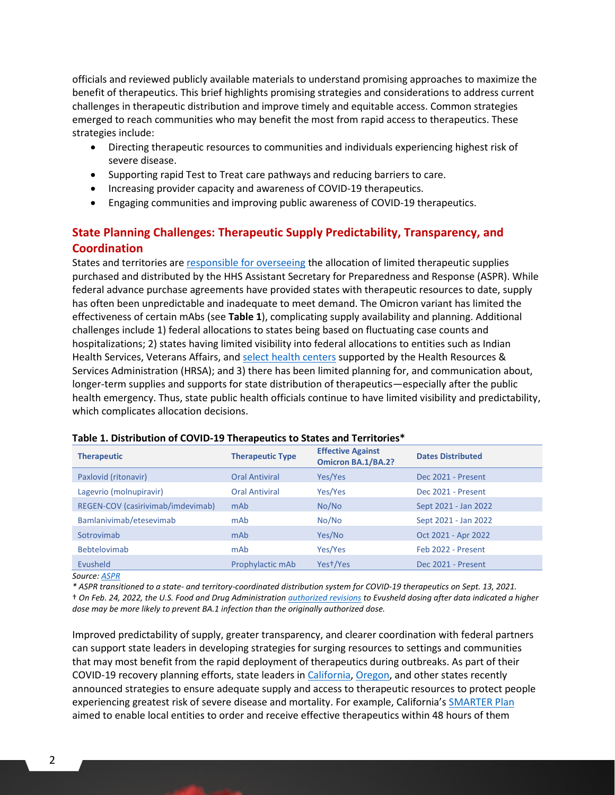officials and reviewed publicly available materials to understand promising approaches to maximize the benefit of therapeutics. This brief highlights promising strategies and considerations to address current challenges in therapeutic distribution and improve timely and equitable access. Common strategies emerged to reach communities who may benefit the most from rapid access to therapeutics. These strategies include:

- Directing therapeutic resources to communities and individuals experiencing highest risk of severe disease.
- Supporting rapid Test to Treat care pathways and reducing barriers to care.
- Increasing provider capacity and awareness of COVID-19 therapeutics.
- Engaging communities and improving public awareness of COVID-19 therapeutics.

### **State Planning Challenges: Therapeutic Supply Predictability, Transparency, and Coordination**

States and territories are [responsible for overseeing](https://aspr.hhs.gov/COVID-19/Therapeutics/Distribution/Pages/default.aspx) the allocation of limited therapeutic supplies purchased and distributed by the HHS Assistant Secretary for Preparedness and Response (ASPR). While federal advance purchase agreements have provided states with therapeutic resources to date, supply has often been unpredictable and inadequate to meet demand. The Omicron variant has limited the effectiveness of certain mAbs (see **Table 1**), complicating supply availability and planning. Additional challenges include 1) federal allocations to states being based on fluctuating case counts and hospitalizations; 2) states having limited visibility into federal allocations to entities such as Indian Health Services, Veterans Affairs, an[d select health centers](https://bphc.hrsa.gov/emergency-response/covid-19-therapeutics) supported by the Health Resources & Services Administration (HRSA); and 3) there has been limited planning for, and communication about, longer-term supplies and supports for state distribution of therapeutics—especially after the public health emergency. Thus, state public health officials continue to have limited visibility and predictability, which complicates allocation decisions.

| <b>Therapeutic</b>                | <b>Therapeutic Type</b> | <b>Effective Against</b><br><b>Omicron BA.1/BA.2?</b> | <b>Dates Distributed</b> |
|-----------------------------------|-------------------------|-------------------------------------------------------|--------------------------|
| Paxlovid (ritonavir)              | <b>Oral Antiviral</b>   | Yes/Yes                                               | Dec 2021 - Present       |
| Lagevrio (molnupiravir)           | <b>Oral Antiviral</b>   | Yes/Yes                                               | Dec 2021 - Present       |
| REGEN-COV (casirivimab/imdevimab) | mAb                     | No/No                                                 | Sept 2021 - Jan 2022     |
| Bamlanivimab/etesevimab           | mAb                     | No/No                                                 | Sept 2021 - Jan 2022     |
| Sotrovimab                        | mAb                     | Yes/No                                                | Oct 2021 - Apr 2022      |
| <b>Bebtelovimab</b>               | mAb                     | Yes/Yes                                               | Feb 2022 - Present       |
| Evusheld                          | Prophylactic mAb        | Yest/Yes                                              | Dec 2021 - Present       |

#### **Table 1. Distribution of COVID-19 Therapeutics to States and Territories\***

*Source: [ASPR](https://aspr.hhs.gov/COVID-19/Therapeutics/Distribution/Pages/default.aspx)*

*\* ASPR transitioned to a state- and territory-coordinated distribution system for COVID-19 therapeutics on Sept. 13, 2021.*  † *On Feb. 24, 2022, the U.S. Food and Drug Administration [authorized revisions](https://www.fda.gov/drugs/drug-safety-and-availability/fda-authorizes-revisions-evusheld-dosing) to Evusheld dosing after data indicated a higher dose may be more likely to prevent BA.1 infection than the originally authorized dose.* 

Improved predictability of supply, greater transparency, and clearer coordination with federal partners can support state leaders in developing strategies for surging resources to settings and communities that may most benefit from the rapid deployment of therapeutics during outbreaks. As part of their COVID-19 recovery planning efforts, state leaders i[n California,](https://covid19.ca.gov/smarter/) [Oregon,](https://govstatus.egov.com/or-oha-rise) and other states recently announced strategies to ensure adequate supply and access to therapeutic resources to protect people experiencing greatest risk of severe disease and mortality. For example, California's [SMARTER Plan](https://files.covid19.ca.gov/pdf/smarter-plan--en.pdf) aimed to enable local entities to order and receive effective therapeutics within 48 hours of them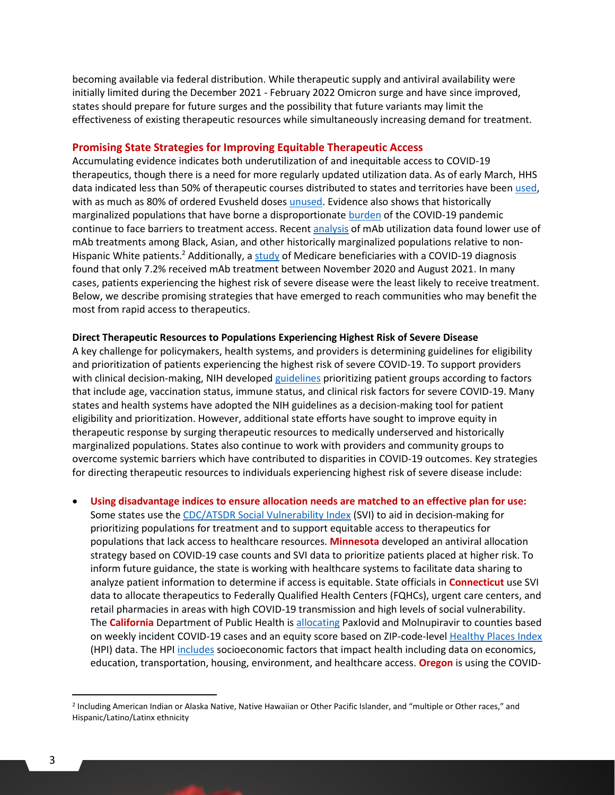becoming available via federal distribution. While therapeutic supply and antiviral availability were initially limited during the December 2021 - February 2022 Omicron surge and have since improved, states should prepare for future surges and the possibility that future variants may limit the effectiveness of existing therapeutic resources while simultaneously increasing demand for treatment.

#### **Promising State Strategies for Improving Equitable Therapeutic Access**

Accumulating evidence indicates both underutilization of and inequitable access to COVID-19 therapeutics, though there is a need for more regularly updated utilization data. As of early March, HHS data indicated less than 50% of therapeutic courses distributed to states and territories have been [used,](https://www.npr.org/sections/health-shots/2022/03/18/1087380770/lifesaving-covid-drugs-are-sitting-unused-on-pharmacy-shelves-hhs-data-shows) with as much as 80% of ordered Evusheld doses [unused.](https://www.nytimes.com/2022/03/06/us/politics/evusheld-covid-treatment.html) Evidence also shows that historically marginalized populations that have borne a disproportionate [burden](https://www.cdc.gov/coronavirus/2019-ncov/community/health-equity/racial-ethnic-disparities/index.html) of the COVID-19 pandemic continue to face barriers to treatment access. Recent [analysis](https://www.cdc.gov/mmwr/volumes/71/wr/mm7103e1.htm) of mAb utilization data found lower use of mAb treatments among Black, Asian, and other historically marginalized populations relative to nonHispanic White patients.<sup>2</sup> Additionally, [a study](https://jamanetwork.com/journals/jama/fullarticle/2788904?guestAccessKey=63a1578d-7869-4654-abe7-0edb690de9c5&utm_source=silverchair&utm_medium=email&utm_campaign=article_alert-jama&utm_content=olf&utm_term=020422) of Medicare beneficiaries with a COVID-19 diagnosis found that only 7.2% received mAb treatment between November 2020 and August 2021. In many cases, patients experiencing the highest risk of severe disease were the least likely to receive treatment. Below, we describe promising strategies that have emerged to reach communities who may benefit the most from rapid access to therapeutics.

#### **Direct Therapeutic Resources to Populations Experiencing Highest Risk of Severe Disease**

A key challenge for policymakers, health systems, and providers is determining guidelines for eligibility and prioritization of patients experiencing the highest risk of severe COVID-19. To support providers with clinical decision-making, NIH developed [guidelines](https://www.covid19treatmentguidelines.nih.gov/) prioritizing patient groups according to factors that include age, vaccination status, immune status, and clinical risk factors for severe COVID-19. Many states and health systems have adopted the NIH guidelines as a decision-making tool for patient eligibility and prioritization. However, additional state efforts have sought to improve equity in therapeutic response by surging therapeutic resources to medically underserved and historically marginalized populations. States also continue to work with providers and community groups to overcome systemic barriers which have contributed to disparities in COVID-19 outcomes. Key strategies for directing therapeutic resources to individuals experiencing highest risk of severe disease include:

• **Using disadvantage indices to ensure allocation needs are matched to an effective plan for use:** Some states use the [CDC/ATSDR Social Vulnerability Index](https://www.atsdr.cdc.gov/placeandhealth/svi/index.html) (SVI) to aid in decision-making for prioritizing populations for treatment and to support equitable access to therapeutics for populations that lack access to healthcare resources. **Minnesota** developed an antiviral allocation strategy based on COVID-19 case counts and SVI data to prioritize patients placed at higher risk. To inform future guidance, the state is working with healthcare systems to facilitate data sharing to analyze patient information to determine if access is equitable. State officials in **Connecticut** use SVI data to allocate therapeutics to Federally Qualified Health Centers (FQHCs), urgent care centers, and retail pharmacies in areas with high COVID-19 transmission and high levels of social vulnerability. The **California** Department of Public Health is [allocating](https://www.cdph.ca.gov/Programs/CID/DCDC/Pages/COVID-19/COVID-19-Treatments-Distribution-and-Ordering.aspx) Paxlovid and Molnupiravir to counties based on weekly incident COVID-19 cases and an equity score based on ZIP-code-leve[l Healthy Places Index](https://healthyplacesindex.org/) (HPI) data. The HP[I includes](https://academyhealth.org/sites/default/files/disadvantage_indices_webinar_slides_combined_003.pdf) socioeconomic factors that impact health including data on economics, education, transportation, housing, environment, and healthcare access. **Oregon** is using the COVID-

 $\overline{a}$ 

<sup>2</sup> Including American Indian or Alaska Native, Native Hawaiian or Other Pacific Islander, and "multiple or Other races," and Hispanic/Latino/Latinx ethnicity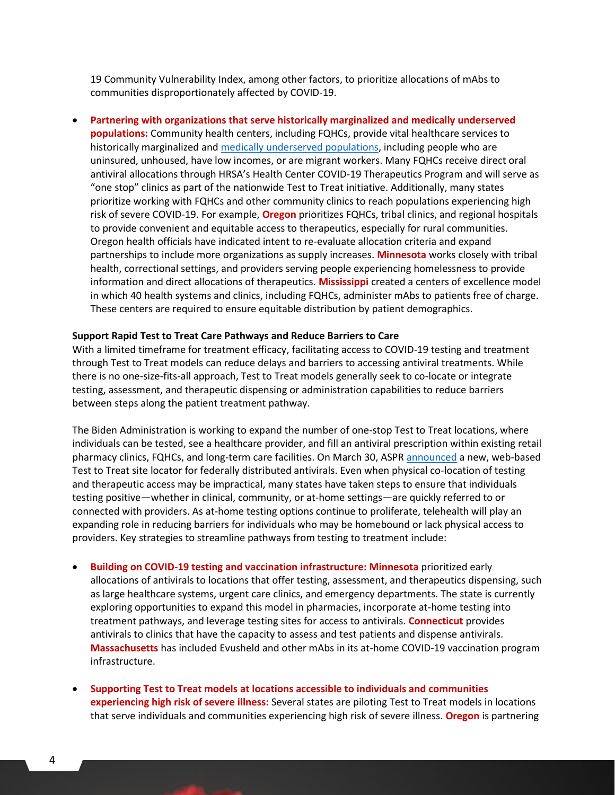19 Community Vulnerability Index, among other factors, to prioritize allocations of mAbs to communities disproportionately affected by COVID-19.

• **Partnering with organizations that serve historically marginalized and medically underserved populations:** Community health centers, including FQHCs, provide vital healthcare services to historically marginalized and [medically underserved populations,](https://www.hhs.gov/guidance/document/hpsa-and-muap-shortage-designation-types) including people who are uninsured, unhoused, have low incomes, or are migrant workers. Many FQHCs receive direct oral antiviral allocations through HRSA's Health Center COVID-19 Therapeutics Program and will serve as "one stop" clinics as part of the nationwide Test to Treat initiative. Additionally, many states prioritize working with FQHCs and other community clinics to reach populations experiencing high risk of severe COVID-19. For example, **Oregon** prioritizes FQHCs, tribal clinics, and regional hospitals to provide convenient and equitable access to therapeutics, especially for rural communities. Oregon health officials have indicated intent to re-evaluate allocation criteria and expand partnerships to include more organizations as supply increases. **Minnesota** works closely with tribal health, correctional settings, and providers serving people experiencing homelessness to provide information and direct allocations of therapeutics. **Mississippi** created a centers of excellence model in which 40 health systems and clinics, including FQHCs, administer mAbs to patients free of charge. These centers are required to ensure equitable distribution by patient demographics.

#### **Support Rapid Test to Treat Care Pathways and Reduce Barriers to Care**

With a limited timeframe for treatment efficacy, facilitating access to COVID-19 testing and treatment through Test to Treat models can reduce delays and barriers to accessing antiviral treatments. While there is no one-size-fits-all approach, Test to Treat models generally seek to co-locate or integrate testing, assessment, and therapeutic dispensing or administration capabilities to reduce barriers between steps along the patient treatment pathway.

The Biden Administration is working to expand the number of one-stop Test to Treat locations, where individuals can be tested, see a healthcare provider, and fill an antiviral prescription within existing retail pharmacy clinics, FQHCs, and long-term care facilities. On March 30, ASP[R announced](https://aspr.hhs.gov/newsroom/Pages/covid19-treatment-locator-30Mar2022.aspx) a new, web-based Test to Treat site locator for federally distributed antivirals. Even when physical co-location of testing and therapeutic access may be impractical, many states have taken steps to ensure that individuals testing positive—whether in clinical, community, or at-home settings—are quickly referred to or connected with providers. As at-home testing options continue to proliferate, telehealth will play an expanding role in reducing barriers for individuals who may be homebound or lack physical access to providers. Key strategies to streamline pathways from testing to treatment include:

- **Building on COVID-19 testing and vaccination infrastructure: Minnesota** prioritized early allocations of antivirals to locations that offer testing, assessment, and therapeutics dispensing, such as large healthcare systems, urgent care clinics, and emergency departments. The state is currently exploring opportunities to expand this model in pharmacies, incorporate at-home testing into treatment pathways, and leverage testing sites for access to antivirals. **Connecticut** provides antivirals to clinics that have the capacity to assess and test patients and dispense antivirals. **Massachusetts** has included Evusheld and other mAbs in its at-home COVID-19 vaccination program infrastructure.
- **Supporting Test to Treat models at locations accessible to individuals and communities experiencing high risk of severe illness:** Several states are piloting Test to Treat models in locations that serve individuals and communities experiencing high risk of severe illness. **Oregon** is partnering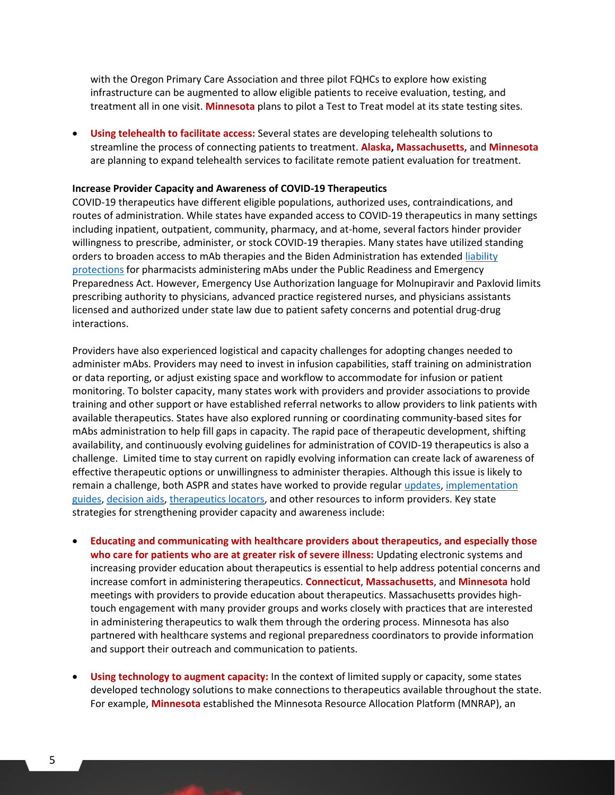with the Oregon Primary Care Association and three pilot FQHCs to explore how existing infrastructure can be augmented to allow eligible patients to receive evaluation, testing, and treatment all in one visit. **Minnesota** plans to pilot a Test to Treat model at its state testing sites.

• **Using telehealth to facilitate access:** Several states are developing telehealth solutions to streamline the process of connecting patients to treatment. **Alaska, Massachusetts,** and **Minnesota** are planning to expand telehealth services to facilitate remote patient evaluation for treatment.

#### **Increase Provider Capacity and Awareness of COVID-19 Therapeutics**

COVID-19 therapeutics have different eligible populations, authorized uses, contraindications, and routes of administration. While states have expanded access to COVID-19 therapeutics in many settings including inpatient, outpatient, community, pharmacy, and at-home, several factors hinder provider willingness to prescribe, administer, or stock COVID-19 therapies. Many states have utilized standing orders to broaden access to mAb therapies and the Biden Administration has extended [liability](https://www.phe.gov/Preparedness/legal/prepact/Pages/PREPact-NinethAmendment.aspx)  [protections](https://www.phe.gov/Preparedness/legal/prepact/Pages/PREPact-NinethAmendment.aspx) for pharmacists administering mAbs under the Public Readiness and Emergency Preparedness Act. However, Emergency Use Authorization language for Molnupiravir and Paxlovid limits prescribing authority to physicians, advanced practice registered nurses, and physicians assistants licensed and authorized under state law due to patient safety concerns and potential drug-drug interactions.

Providers have also experienced logistical and capacity challenges for adopting changes needed to administer mAbs. Providers may need to invest in infusion capabilities, staff training on administration or data reporting, or adjust existing space and workflow to accommodate for infusion or patient monitoring. To bolster capacity, many states work with providers and provider associations to provide training and other support or have established referral networks to allow providers to link patients with available therapeutics. States have also explored running or coordinating community-based sites for mAbs administration to help fill gaps in capacity. The rapid pace of therapeutic development, shifting availability, and continuously evolving guidelines for administration of COVID-19 therapeutics is also a challenge. Limited time to stay current on rapidly evolving information can create lack of awareness of effective therapeutic options or unwillingness to administer therapies. Although this issue is likely to remain a challenge, both ASPR and states have worked to provide regula[r updates,](https://www.phe.gov/emergency/events/COVID19/therapeutics/Pages/healthcare-professionals.aspx) implementation [guides,](https://aspr.hhs.gov/COVID-19/Therapeutics/Documents/USG-COVID19-Tx-Playbook.pdf) [decision aids,](https://aspr.hhs.gov/COVID-19/Therapeutics/Documents/COVID-Therapeutics-Decision-Aid.pdf) [therapeutics locators,](https://covid-19-therapeutics-locator-dhhs.hub.arcgis.com/) and other resources to inform providers. Key state strategies for strengthening provider capacity and awareness include:

- **Educating and communicating with healthcare providers about therapeutics, and especially those who care for patients who are at greater risk of severe illness:** Updating electronic systems and increasing provider education about therapeutics is essential to help address potential concerns and increase comfort in administering therapeutics. **Connecticut**, **Massachusetts**, and **Minnesota** hold meetings with providers to provide education about therapeutics. Massachusetts provides hightouch engagement with many provider groups and works closely with practices that are interested in administering therapeutics to walk them through the ordering process. Minnesota has also partnered with healthcare systems and regional preparedness coordinators to provide information and support their outreach and communication to patients.
- **Using technology to augment capacity:** In the context of limited supply or capacity, some states developed technology solutions to make connections to therapeutics available throughout the state. For example, **Minnesota** established the Minnesota Resource Allocation Platform (MNRAP), an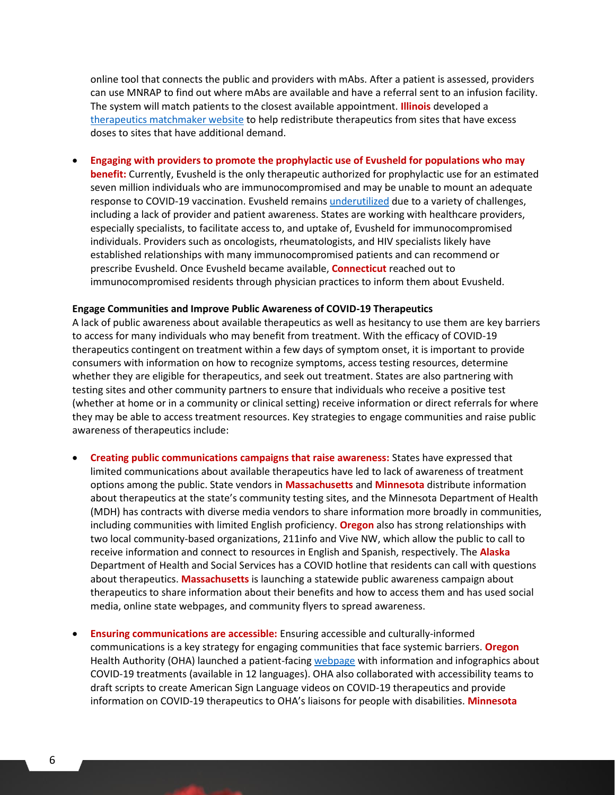online tool that connects the public and providers with mAbs. After a patient is assessed, providers can use MNRAP to find out where mAbs are available and have a referral sent to an infusion facility. The system will match patients to the closest available appointment. **Illinois** developed a [therapeutics matchmaker website](https://dph.illinois.gov/covid19/community-guidance/covid19-treatment/matchmaker.html) to help redistribute therapeutics from sites that have excess doses to sites that have additional demand.

• **Engaging with providers to promote the prophylactic use of Evusheld for populations who may benefit:** Currently, Evusheld is the only therapeutic authorized for prophylactic use for an estimated seven million individuals who are immunocompromised and may be unable to mount an adequate response to COVID-19 vaccination. Evusheld remains [underutilized](https://www.nytimes.com/2022/03/06/us/politics/evusheld-covid-treatment.html) due to a variety of challenges, including a lack of provider and patient awareness. States are working with healthcare providers, especially specialists, to facilitate access to, and uptake of, Evusheld for immunocompromised individuals. Providers such as oncologists, rheumatologists, and HIV specialists likely have established relationships with many immunocompromised patients and can recommend or prescribe Evusheld. Once Evusheld became available, **Connecticut** reached out to immunocompromised residents through physician practices to inform them about Evusheld.

#### **Engage Communities and Improve Public Awareness of COVID-19 Therapeutics**

A lack of public awareness about available therapeutics as well as hesitancy to use them are key barriers to access for many individuals who may benefit from treatment. With the efficacy of COVID-19 therapeutics contingent on treatment within a few days of symptom onset, it is important to provide consumers with information on how to recognize symptoms, access testing resources, determine whether they are eligible for therapeutics, and seek out treatment. States are also partnering with testing sites and other community partners to ensure that individuals who receive a positive test (whether at home or in a community or clinical setting) receive information or direct referrals for where they may be able to access treatment resources. Key strategies to engage communities and raise public awareness of therapeutics include:

- **Creating public communications campaigns that raise awareness:** States have expressed that limited communications about available therapeutics have led to lack of awareness of treatment options among the public. State vendors in **Massachusetts** and **Minnesota** distribute information about therapeutics at the state's community testing sites, and the Minnesota Department of Health (MDH) has contracts with diverse media vendors to share information more broadly in communities, including communities with limited English proficiency. **Oregon** also has strong relationships with two local community-based organizations, 211info and Vive NW, which allow the public to call to receive information and connect to resources in English and Spanish, respectively. The **Alaska** Department of Health and Social Services has a COVID hotline that residents can call with questions about therapeutics. **Massachusetts** is launching a statewide public awareness campaign about therapeutics to share information about their benefits and how to access them and has used social media, online state webpages, and community flyers to spread awareness.
- **Ensuring communications are accessible:** Ensuring accessible and culturally-informed communications is a key strategy for engaging communities that face systemic barriers. **Oregon**  Health Authority (OHA) launched a patient-facin[g webpage](https://govstatus.egov.com/or-oha-covid-19-treatments) with information and infographics about COVID-19 treatments (available in 12 languages). OHA also collaborated with accessibility teams to draft scripts to create American Sign Language videos on COVID-19 therapeutics and provide information on COVID-19 therapeutics to OHA's liaisons for people with disabilities. **Minnesota**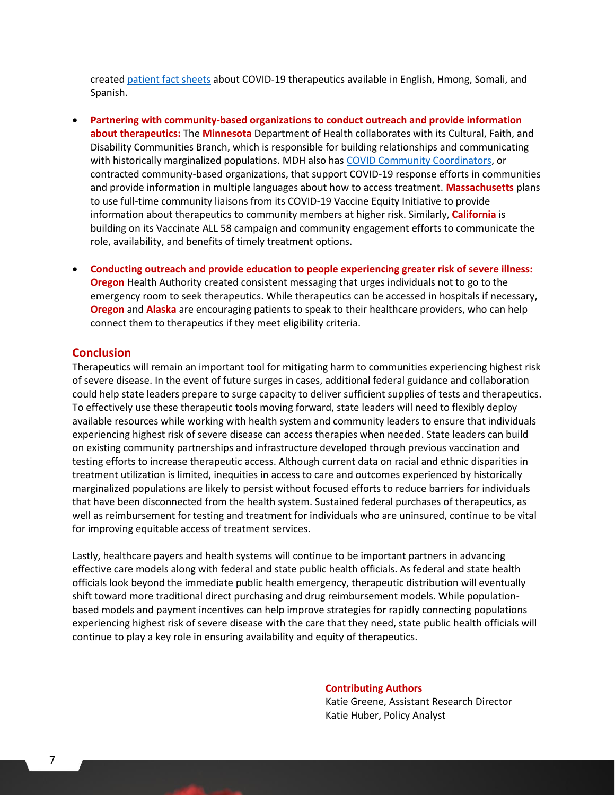create[d patient fact sheets](https://www.health.state.mn.us/diseases/coronavirus/meds.html) about COVID-19 therapeutics available in English, Hmong, Somali, and Spanish.

- **Partnering with community-based organizations to conduct outreach and provide information about therapeutics:** The **Minnesota** Department of Health collaborates with its Cultural, Faith, and Disability Communities Branch, which is responsible for building relationships and communicating with historically marginalized populations. MDH also has [COVID Community Coordinators,](https://www.health.state.mn.us/ccc) or contracted community-based organizations, that support COVID-19 response efforts in communities and provide information in multiple languages about how to access treatment. **Massachusetts** plans to use full-time community liaisons from its COVID-19 Vaccine Equity Initiative to provide information about therapeutics to community members at higher risk. Similarly, **California** is building on its Vaccinate ALL 58 campaign and community engagement efforts to communicate the role, availability, and benefits of timely treatment options.
- **Conducting outreach and provide education to people experiencing greater risk of severe illness: Oregon** Health Authority created consistent messaging that urges individuals not to go to the emergency room to seek therapeutics. While therapeutics can be accessed in hospitals if necessary, **Oregon** and **Alaska** are encouraging patients to speak to their healthcare providers, who can help connect them to therapeutics if they meet eligibility criteria.

#### **Conclusion**

Therapeutics will remain an important tool for mitigating harm to communities experiencing highest risk of severe disease. In the event of future surges in cases, additional federal guidance and collaboration could help state leaders prepare to surge capacity to deliver sufficient supplies of tests and therapeutics. To effectively use these therapeutic tools moving forward, state leaders will need to flexibly deploy available resources while working with health system and community leaders to ensure that individuals experiencing highest risk of severe disease can access therapies when needed. State leaders can build on existing community partnerships and infrastructure developed through previous vaccination and testing efforts to increase therapeutic access. Although current data on racial and ethnic disparities in treatment utilization is limited, inequities in access to care and outcomes experienced by historically marginalized populations are likely to persist without focused efforts to reduce barriers for individuals that have been disconnected from the health system. Sustained federal purchases of therapeutics, as well as reimbursement for testing and treatment for individuals who are uninsured, continue to be vital for improving equitable access of treatment services.

Lastly, healthcare payers and health systems will continue to be important partners in advancing effective care models along with federal and state public health officials. As federal and state health officials look beyond the immediate public health emergency, therapeutic distribution will eventually shift toward more traditional direct purchasing and drug reimbursement models. While populationbased models and payment incentives can help improve strategies for rapidly connecting populations experiencing highest risk of severe disease with the care that they need, state public health officials will continue to play a key role in ensuring availability and equity of therapeutics.

> **Contributing Authors**  Katie Greene, Assistant Research Director Katie Huber, Policy Analyst